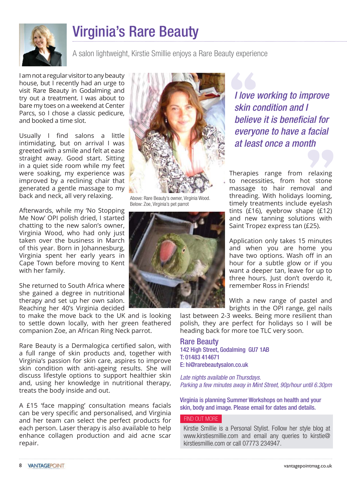

## Virginia's Rare Beauty

A salon lightweight, Kirstie Smillie enjoys a Rare Beauty experience

I am not a regular visitor to any beauty house, but I recently had an urge to visit Rare Beauty in Godalming and try out a treatment. I was about to bare my toes on a weekend at Center Parcs, so I chose a classic pedicure, and booked a time slot.

Usually I find salons a little intimidating, but on arrival I was greeted with a smile and felt at ease straight away. Good start. Sitting in a quiet side room while my feet were soaking, my experience was improved by a reclining chair that generated a gentle massage to my back and neck, all very relaxing.

Afterwards, while my 'No Stopping Me Now' OPI polish dried, I started chatting to the new salon's owner, Virginia Wood, who had only just taken over the business in March of this year. Born in Johannesburg, Virginia spent her early years in Cape Town before moving to Kent with her family.

She returned to South Africa where she gained a degree in nutritional therapy and set up her own salon. Reaching her 40's Virginia decided

to make the move back to the UK and is looking to settle down locally, with her green feathered companion Zoe, an African Ring Neck parrot.

Rare Beauty is a Dermalogica certified salon, with a full range of skin products and, together with Virginia's passion for skin care, aspires to improve skin condition with anti-ageing results. She will discuss lifestyle options to support healthier skin and, using her knowledge in nutritional therapy, treats the body inside and out.

A £15 'face mapping' consultation means facials can be very specific and personalised, and Virginia and her team can select the perfect products for each person. Laser therapy is also available to help enhance collagen production and aid acne scar repair.



Above: Rare Beauty's owner, Virginia Wood. Below: Zoe, Virginia's pet parrot



*I* love<br>
skin c<br>
believ I love working to improve skin condition and I believe it is beneficial for everyone to have a facial at least once a month

Therapies range from relaxing to necessities, from hot stone massage to hair removal and threading. With holidays looming, timely treatments include eyelash tints (£16), eyebrow shape (£12) and new tanning solutions with Saint Tropez express tan (£25). relaxing<br>t stone<br>val and<br>looming,

Application only takes 15 minutes and when you are home you have two options. Wash off in an hour for a subtle glow or if you want a deeper tan, leave for up to three hours. Just don't overdo it, remember Ross in Friends!

With a new range of pastel and brights in the OPI range, gel nails

last between 2-3 weeks. Being more resilient than polish, they are perfect for holidays so I will be heading back for more toe TLC very soon.

## Rare Beauty

142 High Street, Godalming GU7 1AB T: 01483 414671 E: hi@rarebeautysalon.co.uk

Late nights available on Thursdays. Parking a few minutes away in Mint Street, 90p/hour until 6.30pm

Virginia is planning Summer Workshops on health and your skin, body and image. Please email for dates and details.

## FIND OUT MORE

Kirstie Smillie is a Personal Stylist. Follow her style blog at www.kirstiesmillie.com and email any queries to kirstie@ kirstiesmillie.com or call 07773 234947.